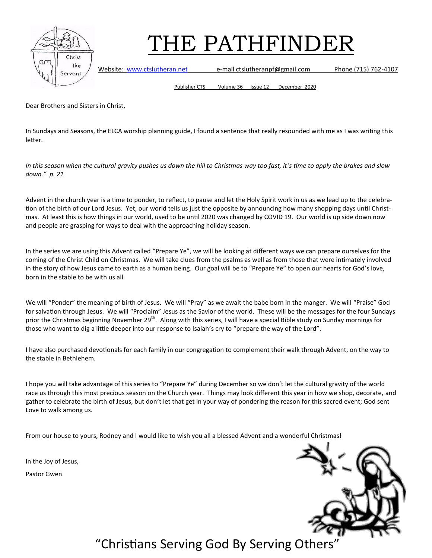

Website: [www.ctslutheran.net](http://www.ctslutheran.net/) e-mail ctslutheranpf@gmail.com Phone (715) 762-4107

Publisher CTS Volume 36 Issue 12 December 2020

Dear Brothers and Sisters in Christ,

In Sundays and Seasons, the ELCA worship planning guide, I found a sentence that really resounded with me as I was writing this letter.

*In this season when the cultural gravity pushes us down the hill to Christmas way too fast, it's time to apply the brakes and slow down." p. 21*

Advent in the church year is a time to ponder, to reflect, to pause and let the Holy Spirit work in us as we lead up to the celebration of the birth of our Lord Jesus. Yet, our world tells us just the opposite by announcing how many shopping days until Christmas. At least this is how things in our world, used to be until 2020 was changed by COVID 19. Our world is up side down now and people are grasping for ways to deal with the approaching holiday season.

In the series we are using this Advent called "Prepare Ye", we will be looking at different ways we can prepare ourselves for the coming of the Christ Child on Christmas. We will take clues from the psalms as well as from those that were intimately involved in the story of how Jesus came to earth as a human being. Our goal will be to "Prepare Ye" to open our hearts for God's love, born in the stable to be with us all.

We will "Ponder" the meaning of birth of Jesus. We will "Pray" as we await the babe born in the manger. We will "Praise" God for salvation through Jesus. We will "Proclaim" Jesus as the Savior of the world. These will be the messages for the four Sundays prior the Christmas beginning November 29<sup>th</sup>. Along with this series, I will have a special Bible study on Sunday mornings for those who want to dig a little deeper into our response to Isaiah's cry to "prepare the way of the Lord".

I have also purchased devotionals for each family in our congregation to complement their walk through Advent, on the way to the stable in Bethlehem.

I hope you will take advantage of this series to "Prepare Ye" during December so we don't let the cultural gravity of the world race us through this most precious season on the Church year. Things may look different this year in how we shop, decorate, and gather to celebrate the birth of Jesus, but don't let that get in your way of pondering the reason for this sacred event; God sent Love to walk among us.

From our house to yours, Rodney and I would like to wish you all a blessed Advent and a wonderful Christmas!

In the Joy of Jesus,

Pastor Gwen

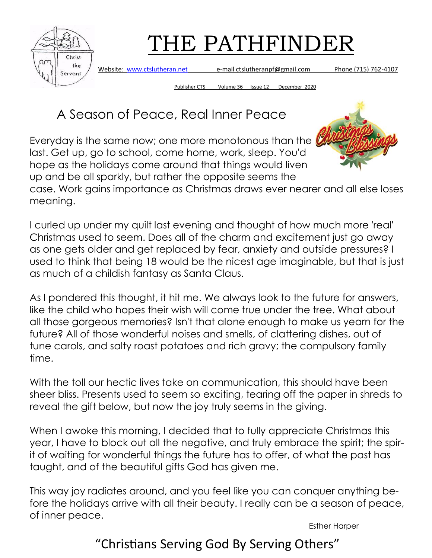

Website: [www.ctslutheran.net](http://www.ctslutheran.net/) e-mail ctslutheranpf@gmail.com Phone (715) 762-4107

Publisher CTS Volume 36 Issue 12 December 2020

# A Season of Peace, Real Inner Peace

Everyday is the same now; one more monotonous than the last. Get up, go to school, come home, work, sleep. You'd hope as the holidays come around that things would liven up and be all sparkly, but rather the opposite seems the



case. Work gains importance as Christmas draws ever nearer and all else loses meaning.

I curled up under my quilt last evening and thought of how much more 'real' Christmas used to seem. Does all of the charm and excitement just go away as one gets older and get replaced by fear, anxiety and outside pressures? I used to think that being 18 would be the nicest age imaginable, but that is just as much of a childish fantasy as Santa Claus.

As I pondered this thought, it hit me. We always look to the future for answers, like the child who hopes their wish will come true under the tree. What about all those gorgeous memories? Isn't that alone enough to make us yearn for the future? All of those wonderful noises and smells, of clattering dishes, out of tune carols, and salty roast potatoes and rich gravy; the compulsory family time.

With the toll our hectic lives take on communication, this should have been sheer bliss. Presents used to seem so exciting, tearing off the paper in shreds to reveal the gift below, but now the joy truly seems in the giving.

When I awoke this morning, I decided that to fully appreciate Christmas this year, I have to block out all the negative, and truly embrace the spirit; the spirit of waiting for wonderful things the future has to offer, of what the past has taught, and of the beautiful gifts God has given me.

This way joy radiates around, and you feel like you can conquer anything before the holidays arrive with all their beauty. I really can be a season of peace, of inner peace.

Esther Harper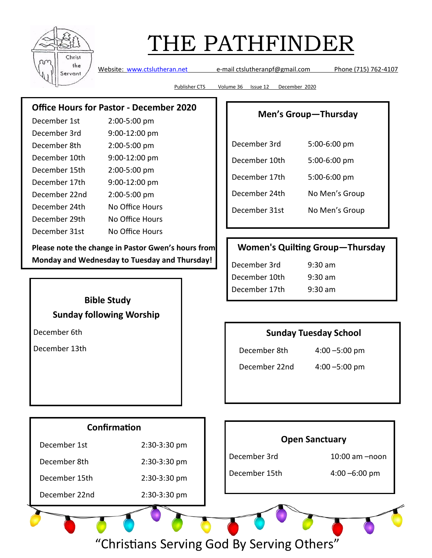

Website: [www.ctslutheran.net](http://www.ctslutheran.net/) e-mail ctslutheranpf@gmail.com Phone (715) 762-4107

Publisher CTS Volume 36 Issue 12 December 2020

## **Office Hours for Pastor - December 2020**

| December 1st  | 2:00-5:00 pm    |
|---------------|-----------------|
| December 3rd  | 9:00-12:00 pm   |
| December 8th  | 2:00-5:00 pm    |
| December 10th | 9:00-12:00 pm   |
| December 15th | 2:00-5:00 pm    |
| December 17th | 9:00-12:00 pm   |
| December 22nd | 2:00-5:00 pm    |
| December 24th | No Office Hours |
| December 29th | No Office Hours |
| December 31st | No Office Hours |

**Please note the change in Pastor Gwen's hours from Monday and Wednesday to Tuesday and Thursday!**

#### **Men's Group—Thursday**

| December 3rd  | 5:00-6:00 pm   |  |
|---------------|----------------|--|
| December 10th | 5:00-6:00 pm   |  |
| December 17th | 5:00-6:00 pm   |  |
| December 24th | No Men's Group |  |
| December 31st | No Men's Group |  |

## **Women's Quilting Group—Thursday**

| December 3rd  | $9:30 \text{ am}$ |
|---------------|-------------------|
| December 10th | $9:30 \text{ am}$ |
| December 17th | $9:30 \text{ am}$ |

## **Bible Study Sunday following Worship**

December 6th

December 13th

### **Sunday Tuesday School**

December 8th 4:00 –5:00 pm

December 22nd 4:00 –5:00 pm

## **Confirmation**

| December 1st  | $2:30-3:30$ pm |
|---------------|----------------|
| December 8th  | 2:30-3:30 pm   |
| December 15th | 2:30-3:30 pm   |
| December 22nd | 2:30-3:30 pm   |
|               |                |

### **Open Sanctuary**

December 3rd 10:00 am –noon

December 15th 4:00 –6:00 pm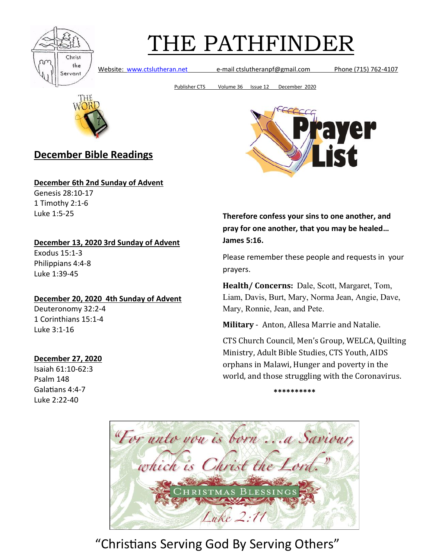

Website: [www.ctslutheran.net](http://www.ctslutheran.net/) e-mail ctslutheranpf@gmail.com Phone (715) 762-4107

Publisher CTS Volume 36 Issue 12 December 2020



## **December Bible Readings**

**December 6th 2nd Sunday of Advent**

Genesis 28:10-17 1 Timothy 2:1-6 Luke 1:5-25

#### **December 13, 2020 3rd Sunday of Advent**

Exodus 15:1-3 Philippians 4:4-8 Luke 1:39-45

#### **December 20, 2020 4th Sunday of Advent**

Deuteronomy 32:2-4 1 Corinthians 15:1-4 Luke 3:1-16

#### **December 27, 2020**

Isaiah 61:10-62:3 Psalm 148 Galatians 4:4-7 Luke 2:22-40



**Therefore confess your sins to one another, and pray for one another, that you may be healed… James 5:16.**

Please remember these people and requests in your prayers.

**Health/ Concerns:** Dale, Scott, Margaret, Tom, Liam, Davis, Burt, Mary, Norma Jean, Angie, Dave, Mary, Ronnie, Jean, and Pete.

**Military** - Anton, Allesa Marrie and Natalie.

CTS Church Council, Men's Group, WELCA, Quilting Ministry, Adult Bible Studies, CTS Youth, AIDS orphans in Malawi, Hunger and poverty in the world, and those struggling with the Coronavirus.

**\*\*\*\*\*\*\*\*\*\***

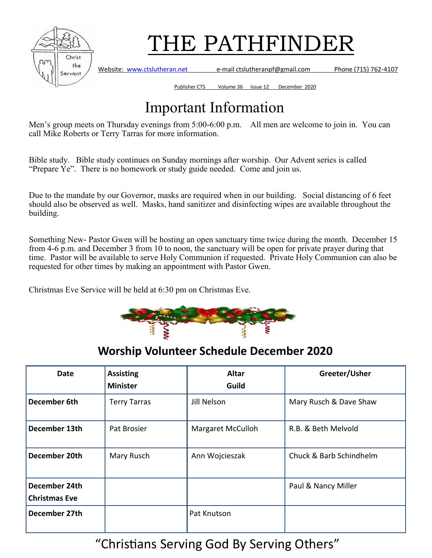

Website: [www.ctslutheran.net](http://www.ctslutheran.net/) e-mail ctslutheranpf@gmail.com Phone (715) 762-4107

Publisher CTS Volume 36 Issue 12 December 2020

# Important Information

Men's group meets on Thursday evenings from 5:00-6:00 p.m. All men are welcome to join in. You can call Mike Roberts or Terry Tarras for more information.

Bible study. Bible study continues on Sunday mornings after worship. Our Advent series is called "Prepare Ye". There is no homework or study guide needed. Come and join us.

Due to the mandate by our Governor, masks are required when in our building. Social distancing of 6 feet should also be observed as well. Masks, hand sanitizer and disinfecting wipes are available throughout the building.

Something New- Pastor Gwen will be hosting an open sanctuary time twice during the month. December 15 from 4-6 p.m. and December 3 from 10 to noon, the sanctuary will be open for private prayer during that time. Pastor will be available to serve Holy Communion if requested. Private Holy Communion can also be requested for other times by making an appointment with Pastor Gwen.

Christmas Eve Service will be held at 6:30 pm on Christmas Eve.



## **Worship Volunteer Schedule December 2020**

| Date                                  | <b>Assisting</b><br><b>Minister</b> | <b>Altar</b><br>Guild    | Greeter/Usher           |
|---------------------------------------|-------------------------------------|--------------------------|-------------------------|
| December 6th                          | <b>Terry Tarras</b>                 | Jill Nelson              | Mary Rusch & Dave Shaw  |
| December 13th                         | Pat Brosier                         | <b>Margaret McCulloh</b> | R.B. & Beth Melvold     |
| December 20th                         | Mary Rusch                          | Ann Wojcieszak           | Chuck & Barb Schindhelm |
| December 24th<br><b>Christmas Eve</b> |                                     |                          | Paul & Nancy Miller     |
| December 27th                         |                                     | Pat Knutson              |                         |